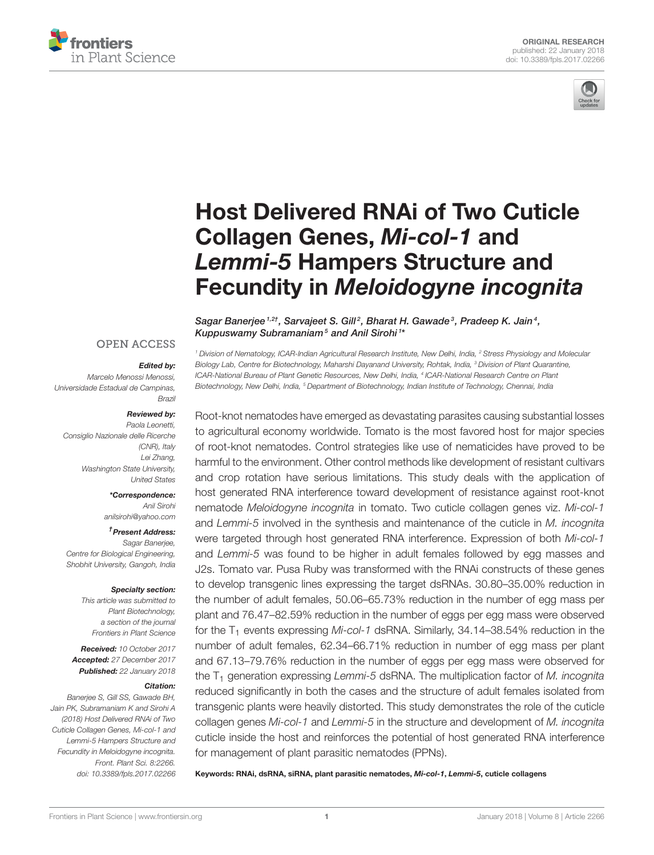



# Host Delivered RNAi of Two Cuticle Collagen Genes, *Mi-col-1* and *Lemmi-5* Hampers Structure and Fecundity in *Meloidogyne incognita*

Sagar Banerjee<sup>1,2†</sup>, Sarvajeet S. Gill<sup>2</sup>, Bharat H. Gawade<sup>3</sup>, Pradeep K. Jain<sup>4</sup>, Kuppuswamy Subramaniam<sup>5</sup> and Anil Sirohi<sup>1\*</sup>

#### **OPEN ACCESS**

#### *Edited by:*

*Marcelo Menossi Menossi, Universidade Estadual de Campinas, Brazil*

#### *Reviewed by:*

*Paola Leonetti, Consiglio Nazionale delle Ricerche (CNR), Italy Lei Zhang, Washington State University, United States*

*\*Correspondence:*

*Anil Sirohi anilsirohi@yahoo.com*

*† Present Address:*

*Sagar Banerjee, Centre for Biological Engineering, Shobhit University, Gangoh, India*

#### *Specialty section:*

*This article was submitted to Plant Biotechnology, a section of the journal Frontiers in Plant Science*

*Received: 10 October 2017 Accepted: 27 December 2017 Published: 22 January 2018*

#### *Citation:*

*Banerjee S, Gill SS, Gawade BH, Jain PK, Subramaniam K and Sirohi A (2018) Host Delivered RNAi of Two Cuticle Collagen Genes, Mi-col-1 and Lemmi-5 Hampers Structure and Fecundity in Meloidogyne incognita. Front. Plant Sci. 8:2266. doi: 10.3389/fpls.2017.02266*

*<sup>1</sup> Division of Nematology, ICAR-Indian Agricultural Research Institute, New Delhi, India, <sup>2</sup> Stress Physiology and Molecular Biology Lab, Centre for Biotechnology, Maharshi Dayanand University, Rohtak, India, <sup>3</sup> Division of Plant Quarantine, ICAR-National Bureau of Plant Genetic Resources, New Delhi, India, <sup>4</sup> ICAR-National Research Centre on Plant Biotechnology, New Delhi, India, <sup>5</sup> Department of Biotechnology, Indian Institute of Technology, Chennai, India*

Root-knot nematodes have emerged as devastating parasites causing substantial losses to agricultural economy worldwide. Tomato is the most favored host for major species of root-knot nematodes. Control strategies like use of nematicides have proved to be harmful to the environment. Other control methods like development of resistant cultivars and crop rotation have serious limitations. This study deals with the application of host generated RNA interference toward development of resistance against root-knot nematode *Meloidogyne incognita* in tomato. Two cuticle collagen genes viz. *Mi-col-1* and *Lemmi-5* involved in the synthesis and maintenance of the cuticle in *M. incognita* were targeted through host generated RNA interference. Expression of both *Mi-col-1* and *Lemmi-5* was found to be higher in adult females followed by egg masses and J2s. Tomato var. Pusa Ruby was transformed with the RNAi constructs of these genes to develop transgenic lines expressing the target dsRNAs. 30.80–35.00% reduction in the number of adult females, 50.06–65.73% reduction in the number of egg mass per plant and 76.47–82.59% reduction in the number of eggs per egg mass were observed for the T<sub>1</sub> events expressing Mi-col-1 dsRNA. Similarly, 34.14–38.54% reduction in the number of adult females, 62.34–66.71% reduction in number of egg mass per plant and 67.13–79.76% reduction in the number of eggs per egg mass were observed for the T<sub>1</sub> generation expressing *Lemmi-5* dsRNA. The multiplication factor of *M. incognita* reduced significantly in both the cases and the structure of adult females isolated from transgenic plants were heavily distorted. This study demonstrates the role of the cuticle collagen genes *Mi-col-1* and *Lemmi-5* in the structure and development of *M. incognita* cuticle inside the host and reinforces the potential of host generated RNA interference for management of plant parasitic nematodes (PPNs).

Keywords: RNAi, dsRNA, siRNA, plant parasitic nematodes, *Mi-col-1*, *Lemmi-5*, cuticle collagens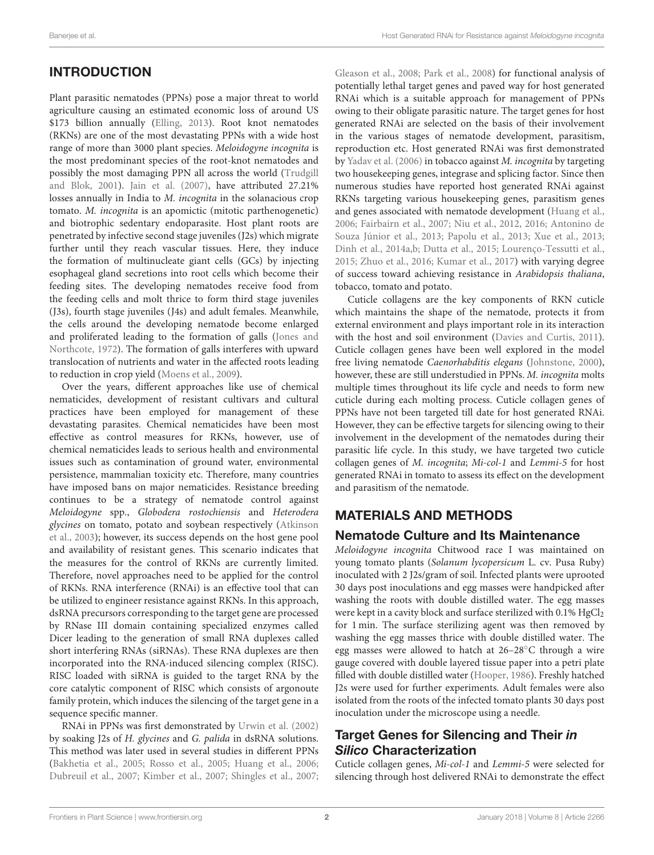# INTRODUCTION

Plant parasitic nematodes (PPNs) pose a major threat to world agriculture causing an estimated economic loss of around US \$173 billion annually (Elling, 2013). Root knot nematodes (RKNs) are one of the most devastating PPNs with a wide host range of more than 3000 plant species. Meloidogyne incognita is the most predominant species of the root-knot nematodes and possibly the most damaging PPN all across the world (Trudgill and Blok, 2001). Jain et al. (2007), have attributed 27.21% losses annually in India to M. incognita in the solanacious crop tomato. M. incognita is an apomictic (mitotic parthenogenetic) and biotrophic sedentary endoparasite. Host plant roots are penetrated by infective second stage juveniles (J2s) which migrate further until they reach vascular tissues. Here, they induce the formation of multinucleate giant cells (GCs) by injecting esophageal gland secretions into root cells which become their feeding sites. The developing nematodes receive food from the feeding cells and molt thrice to form third stage juveniles (J3s), fourth stage juveniles (J4s) and adult females. Meanwhile, the cells around the developing nematode become enlarged and proliferated leading to the formation of galls (Jones and Northcote, 1972). The formation of galls interferes with upward translocation of nutrients and water in the affected roots leading to reduction in crop yield (Moens et al., 2009).

Over the years, different approaches like use of chemical nematicides, development of resistant cultivars and cultural practices have been employed for management of these devastating parasites. Chemical nematicides have been most effective as control measures for RKNs, however, use of chemical nematicides leads to serious health and environmental issues such as contamination of ground water, environmental persistence, mammalian toxicity etc. Therefore, many countries have imposed bans on major nematicides. Resistance breeding continues to be a strategy of nematode control against Meloidogyne spp., Globodera rostochiensis and Heterodera glycines on tomato, potato and soybean respectively (Atkinson et al., 2003); however, its success depends on the host gene pool and availability of resistant genes. This scenario indicates that the measures for the control of RKNs are currently limited. Therefore, novel approaches need to be applied for the control of RKNs. RNA interference (RNAi) is an effective tool that can be utilized to engineer resistance against RKNs. In this approach, dsRNA precursors corresponding to the target gene are processed by RNase III domain containing specialized enzymes called Dicer leading to the generation of small RNA duplexes called short interfering RNAs (siRNAs). These RNA duplexes are then incorporated into the RNA-induced silencing complex (RISC). RISC loaded with siRNA is guided to the target RNA by the core catalytic component of RISC which consists of argonoute family protein, which induces the silencing of the target gene in a sequence specific manner.

RNAi in PPNs was first demonstrated by Urwin et al. (2002) by soaking J2s of H. glycines and G. palida in dsRNA solutions. This method was later used in several studies in different PPNs (Bakhetia et al., 2005; Rosso et al., 2005; Huang et al., 2006; Dubreuil et al., 2007; Kimber et al., 2007; Shingles et al., 2007;

Gleason et al., 2008; Park et al., 2008) for functional analysis of potentially lethal target genes and paved way for host generated RNAi which is a suitable approach for management of PPNs owing to their obligate parasitic nature. The target genes for host generated RNAi are selected on the basis of their involvement in the various stages of nematode development, parasitism, reproduction etc. Host generated RNAi was first demonstrated by Yadav et al. (2006) in tobacco against M. incognita by targeting two housekeeping genes, integrase and splicing factor. Since then numerous studies have reported host generated RNAi against RKNs targeting various housekeeping genes, parasitism genes and genes associated with nematode development (Huang et al., 2006; Fairbairn et al., 2007; Niu et al., 2012, 2016; Antonino de Souza Júnior et al., 2013; Papolu et al., 2013; Xue et al., 2013; Dinh et al., 2014a,b; Dutta et al., 2015; Lourenço-Tessutti et al., 2015; Zhuo et al., 2016; Kumar et al., 2017) with varying degree of success toward achieving resistance in Arabidopsis thaliana, tobacco, tomato and potato.

Cuticle collagens are the key components of RKN cuticle which maintains the shape of the nematode, protects it from external environment and plays important role in its interaction with the host and soil environment (Davies and Curtis, 2011). Cuticle collagen genes have been well explored in the model free living nematode Caenorhabditis elegans (Johnstone, 2000), however, these are still understudied in PPNs. M. incognita molts multiple times throughout its life cycle and needs to form new cuticle during each molting process. Cuticle collagen genes of PPNs have not been targeted till date for host generated RNAi. However, they can be effective targets for silencing owing to their involvement in the development of the nematodes during their parasitic life cycle. In this study, we have targeted two cuticle collagen genes of M. incognita; Mi-col-1 and Lemmi-5 for host generated RNAi in tomato to assess its effect on the development and parasitism of the nematode.

# MATERIALS AND METHODS

## Nematode Culture and Its Maintenance

Meloidogyne incognita Chitwood race I was maintained on young tomato plants (Solanum lycopersicum L. cv. Pusa Ruby) inoculated with 2 J2s/gram of soil. Infected plants were uprooted 30 days post inoculations and egg masses were handpicked after washing the roots with double distilled water. The egg masses were kept in a cavity block and surface sterilized with  $0.1\%$  HgCl<sub>2</sub> for 1 min. The surface sterilizing agent was then removed by washing the egg masses thrice with double distilled water. The egg masses were allowed to hatch at 26–28◦C through a wire gauge covered with double layered tissue paper into a petri plate filled with double distilled water (Hooper, 1986). Freshly hatched J2s were used for further experiments. Adult females were also isolated from the roots of the infected tomato plants 30 days post inoculation under the microscope using a needle.

### Target Genes for Silencing and Their *in Silico* Characterization

Cuticle collagen genes, Mi-col-1 and Lemmi-5 were selected for silencing through host delivered RNAi to demonstrate the effect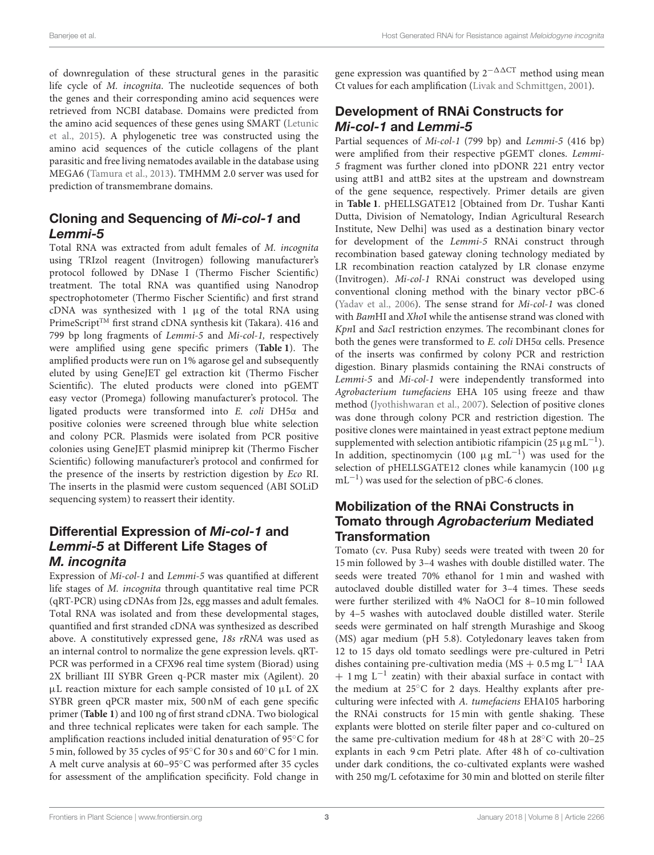of downregulation of these structural genes in the parasitic life cycle of M. incognita. The nucleotide sequences of both the genes and their corresponding amino acid sequences were retrieved from NCBI database. Domains were predicted from the amino acid sequences of these genes using SMART (Letunic et al., 2015). A phylogenetic tree was constructed using the amino acid sequences of the cuticle collagens of the plant parasitic and free living nematodes available in the database using MEGA6 (Tamura et al., 2013). TMHMM 2.0 server was used for prediction of transmembrane domains.

## Cloning and Sequencing of *Mi-col-1* and *Lemmi-5*

Total RNA was extracted from adult females of M. incognita using TRIzol reagent (Invitrogen) following manufacturer's protocol followed by DNase I (Thermo Fischer Scientific) treatment. The total RNA was quantified using Nanodrop spectrophotometer (Thermo Fischer Scientific) and first strand cDNA was synthesized with  $1 \mu g$  of the total RNA using PrimeScript<sup>TM</sup> first strand cDNA synthesis kit (Takara). 416 and 799 bp long fragments of Lemmi-5 and Mi-col-1, respectively were amplified using gene specific primers (**Table 1**). The amplified products were run on 1% agarose gel and subsequently eluted by using GeneJET gel extraction kit (Thermo Fischer Scientific). The eluted products were cloned into pGEMT easy vector (Promega) following manufacturer's protocol. The ligated products were transformed into E. coli DH5α and positive colonies were screened through blue white selection and colony PCR. Plasmids were isolated from PCR positive colonies using GeneJET plasmid miniprep kit (Thermo Fischer Scientific) following manufacturer's protocol and confirmed for the presence of the inserts by restriction digestion by Eco RI. The inserts in the plasmid were custom sequenced (ABI SOLiD sequencing system) to reassert their identity.

### Differential Expression of *Mi-col-1* and *Lemmi-5* at Different Life Stages of *M. incognita*

Expression of Mi-col-1 and Lemmi-5 was quantified at different life stages of M. incognita through quantitative real time PCR (qRT-PCR) using cDNAs from J2s, egg masses and adult females. Total RNA was isolated and from these developmental stages, quantified and first stranded cDNA was synthesized as described above. A constitutively expressed gene, 18s rRNA was used as an internal control to normalize the gene expression levels. qRT-PCR was performed in a CFX96 real time system (Biorad) using 2X brilliant III SYBR Green q-PCR master mix (Agilent). 20  $\mu$ L reaction mixture for each sample consisted of 10  $\mu$ L of 2X SYBR green qPCR master mix, 500 nM of each gene specific primer (**Table 1**) and 100 ng of first strand cDNA. Two biological and three technical replicates were taken for each sample. The amplification reactions included initial denaturation of 95◦C for 5 min, followed by 35 cycles of 95◦C for 30 s and 60◦C for 1 min. A melt curve analysis at 60–95◦C was performed after 35 cycles for assessment of the amplification specificity. Fold change in gene expression was quantified by  $2^{-\Delta\Delta CT}$  method using mean Ct values for each amplification (Livak and Schmittgen, 2001).

### Development of RNAi Constructs for *Mi-col-1* and *Lemmi-5*

Partial sequences of Mi-col-1 (799 bp) and Lemmi-5 (416 bp) were amplified from their respective pGEMT clones. Lemmi-5 fragment was further cloned into pDONR 221 entry vector using attB1 and attB2 sites at the upstream and downstream of the gene sequence, respectively. Primer details are given in **Table 1**. pHELLSGATE12 [Obtained from Dr. Tushar Kanti Dutta, Division of Nematology, Indian Agricultural Research Institute, New Delhi] was used as a destination binary vector for development of the Lemmi-5 RNAi construct through recombination based gateway cloning technology mediated by LR recombination reaction catalyzed by LR clonase enzyme (Invitrogen). Mi-col-1 RNAi construct was developed using conventional cloning method with the binary vector pBC-6 (Yadav et al., 2006). The sense strand for Mi-col-1 was cloned with BamHI and XhoI while the antisense strand was cloned with KpnI and SacI restriction enzymes. The recombinant clones for both the genes were transformed to E. coli DH5α cells. Presence of the inserts was confirmed by colony PCR and restriction digestion. Binary plasmids containing the RNAi constructs of Lemmi-5 and Mi-col-1 were independently transformed into Agrobacterium tumefaciens EHA 105 using freeze and thaw method (Jyothishwaran et al., 2007). Selection of positive clones was done through colony PCR and restriction digestion. The positive clones were maintained in yeast extract peptone medium supplemented with selection antibiotic rifampicin (25  $\mu$ g mL<sup>-1</sup>). In addition, spectinomycin (100  $\mu$ g mL<sup>-1</sup>) was used for the selection of pHELLSGATE12 clones while kanamycin (100 µg mL−<sup>1</sup> ) was used for the selection of pBC-6 clones.

### Mobilization of the RNAi Constructs in Tomato through *Agrobacterium* Mediated **Transformation**

Tomato (cv. Pusa Ruby) seeds were treated with tween 20 for 15 min followed by 3–4 washes with double distilled water. The seeds were treated 70% ethanol for 1 min and washed with autoclaved double distilled water for 3–4 times. These seeds were further sterilized with 4% NaOCl for 8–10 min followed by 4–5 washes with autoclaved double distilled water. Sterile seeds were germinated on half strength Murashige and Skoog (MS) agar medium (pH 5.8). Cotyledonary leaves taken from 12 to 15 days old tomato seedlings were pre-cultured in Petri dishes containing pre-cultivation media (MS + 0.5 mg L−<sup>1</sup> IAA + 1 mg L<sup>-1</sup> zeatin) with their abaxial surface in contact with the medium at 25◦C for 2 days. Healthy explants after preculturing were infected with A. tumefaciens EHA105 harboring the RNAi constructs for 15 min with gentle shaking. These explants were blotted on sterile filter paper and co-cultured on the same pre-cultivation medium for 48 h at 28◦C with 20–25 explants in each 9 cm Petri plate. After 48 h of co-cultivation under dark conditions, the co-cultivated explants were washed with 250 mg/L cefotaxime for 30 min and blotted on sterile filter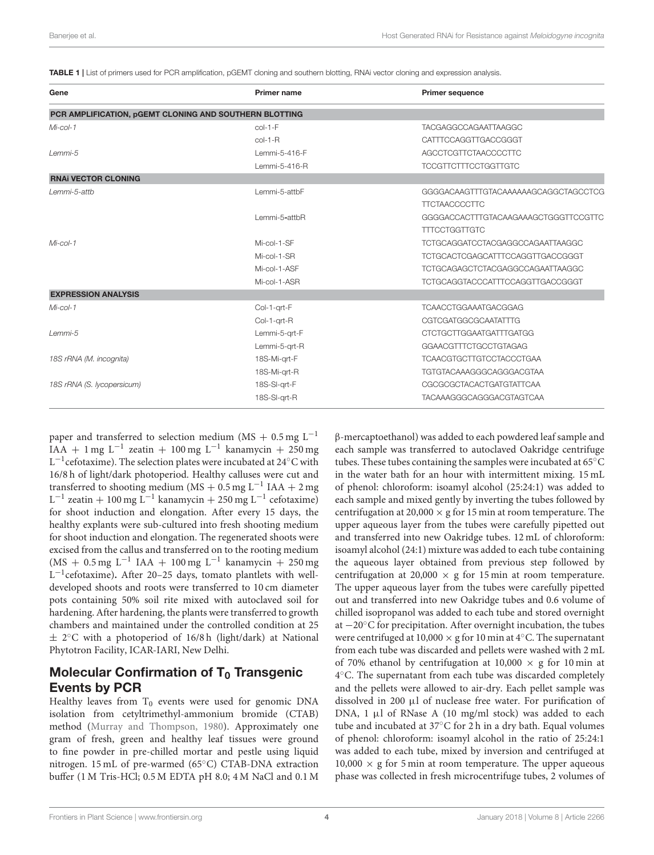TABLE 1 | List of primers used for PCR amplification, pGEMT cloning and southern blotting, RNAi vector cloning and expression analysis.

| Gene                                                   | <b>Primer name</b> | <b>Primer sequence</b>               |  |
|--------------------------------------------------------|--------------------|--------------------------------------|--|
| PCR AMPLIFICATION, pGEMT CLONING AND SOUTHERN BLOTTING |                    |                                      |  |
| $Mi$ -col-1                                            | $col-1-F$          | <b>TACGAGGCCAGAATTAAGGC</b>          |  |
|                                                        | $col-1-R$          | CATTTCCAGGTTGACCGGGT                 |  |
| Lemmi-5                                                | Lemmi-5-416-F      | <b>AGCCTCGTTCTAACCCCTTC</b>          |  |
|                                                        | Lemmi-5-416-R      | <b>TCCGTTCTTTCCTGGTTGTC</b>          |  |
| <b>RNAI VECTOR CLONING</b>                             |                    |                                      |  |
| Lemmi-5-atth                                           | Lemmi-5-attbF      | GGGGACAAGTTTGTACAAAAAAGCAGGCTAGCCTCG |  |
|                                                        |                    | <b>TTCTAACCCCTTC</b>                 |  |
|                                                        | Lemmi-5-attbR      | GGGGACCACTTTGTACAAGAAAGCTGGGTTCCGTTC |  |
|                                                        |                    | <b>TTTCCTGGTTGTC</b>                 |  |
| $Mi$ -col-1                                            | Mi-col-1-SF        | TCTGCAGGATCCTACGAGGCCAGAATTAAGGC     |  |
|                                                        | Mi-col-1-SR        | TCTGCACTCGAGCATTTCCAGGTTGACCGGGT     |  |
|                                                        | Mi-col-1-ASF       | TCTGCAGAGCTCTACGAGGCCAGAATTAAGGC     |  |
|                                                        | Mi-col-1-ASR       | TCTGCAGGTACCCATTTCCAGGTTGACCGGGT     |  |
| <b>EXPRESSION ANALYSIS</b>                             |                    |                                      |  |
| $Mi$ -col-1                                            | Col-1-art-F        | <b>TCAACCTGGAAATGACGGAG</b>          |  |
|                                                        | Col-1-grt-R        | <b>CGTCGATGGCGCAATATTTG</b>          |  |
| Lemmi-5                                                | Lemmi-5-art-F      | <b>CTCTGCTTGGAATGATTTGATGG</b>       |  |
|                                                        | Lemmi-5-art-R      | <b>GGAACGTTTCTGCCTGTAGAG</b>         |  |
| 18S rRNA (M. incognita)                                | 18S-Mi-grt-F       | TCAACGTGCTTGTCCTACCCTGAA             |  |
|                                                        | 18S-Mi-grt-R       | TGTGTACAAAGGGCAGGGACGTAA             |  |
| 18S rRNA (S. lycopersicum)                             | 18S-SI-grt-F       | CGCGCGCTACACTGATGTATTCAA             |  |
|                                                        | 18S-SI-grt-R       | TACAAAGGGCAGGGACGTAGTCAA             |  |

paper and transferred to selection medium (MS + 0.5 mg  $L^{-1}$ IAA + 1 mg L<sup>-1</sup> zeatin + 100 mg L<sup>-1</sup> kanamycin + 250 mg L −1 cefotaxime). The selection plates were incubated at 24◦C with 16/8 h of light/dark photoperiod. Healthy calluses were cut and transferred to shooting medium (MS + 0.5 mg L<sup>-1</sup> IAA + 2 mg  $L^{-1}$  zeatin + 100 mg  $L^{-1}$  kanamycin + 250 mg  $L^{-1}$  cefotaxime) for shoot induction and elongation. After every 15 days, the healthy explants were sub-cultured into fresh shooting medium for shoot induction and elongation. The regenerated shoots were excised from the callus and transferred on to the rooting medium  $(MS + 0.5$  mg L<sup>-1</sup> IAA + 100 mg L<sup>-1</sup> kanamycin + 250 mg L<sup>-1</sup>cefotaxime). After 20-25 days, tomato plantlets with welldeveloped shoots and roots were transferred to 10 cm diameter pots containing 50% soil rite mixed with autoclaved soil for hardening. After hardening, the plants were transferred to growth chambers and maintained under the controlled condition at 25  $\pm$  2°C with a photoperiod of 16/8 h (light/dark) at National Phytotron Facility, ICAR-IARI, New Delhi.

### Molecular Confirmation of  $T_0$  Transgenic Events by PCR

Healthy leaves from  $T_0$  events were used for genomic DNA isolation from cetyltrimethyl-ammonium bromide (CTAB) method (Murray and Thompson, 1980). Approximately one gram of fresh, green and healthy leaf tissues were ground to fine powder in pre-chilled mortar and pestle using liquid nitrogen. 15 mL of pre-warmed (65◦C) CTAB-DNA extraction buffer (1 M Tris-HCl; 0.5 M EDTA pH 8.0; 4 M NaCl and 0.1 M β-mercaptoethanol) was added to each powdered leaf sample and each sample was transferred to autoclaved Oakridge centrifuge tubes. These tubes containing the samples were incubated at 65◦C in the water bath for an hour with intermittent mixing. 15 mL of phenol: chloroform: isoamyl alcohol (25:24:1) was added to each sample and mixed gently by inverting the tubes followed by centrifugation at 20,000  $\times$  g for 15 min at room temperature. The upper aqueous layer from the tubes were carefully pipetted out and transferred into new Oakridge tubes. 12 mL of chloroform: isoamyl alcohol (24:1) mixture was added to each tube containing the aqueous layer obtained from previous step followed by centrifugation at 20,000  $\times$  g for 15 min at room temperature. The upper aqueous layer from the tubes were carefully pipetted out and transferred into new Oakridge tubes and 0.6 volume of chilled isopropanol was added to each tube and stored overnight at −20◦C for precipitation. After overnight incubation, the tubes were centrifuged at 10,000  $\times$  g for 10 min at 4 $\rm ^{\circ}C$ . The supernatant from each tube was discarded and pellets were washed with 2 mL of 70% ethanol by centrifugation at  $10,000 \times g$  for 10 min at 4 ◦C. The supernatant from each tube was discarded completely and the pellets were allowed to air-dry. Each pellet sample was dissolved in 200 µl of nuclease free water. For purification of DNA,  $1 \mu l$  of RNase A (10 mg/ml stock) was added to each tube and incubated at 37◦C for 2 h in a dry bath. Equal volumes of phenol: chloroform: isoamyl alcohol in the ratio of 25:24:1 was added to each tube, mixed by inversion and centrifuged at  $10,000 \times g$  for 5 min at room temperature. The upper aqueous phase was collected in fresh microcentrifuge tubes, 2 volumes of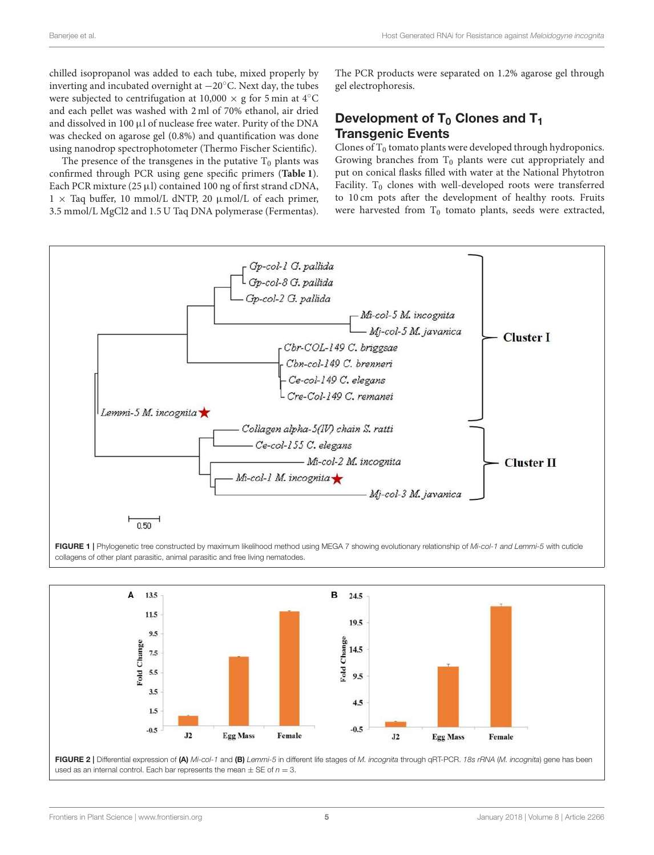chilled isopropanol was added to each tube, mixed properly by inverting and incubated overnight at −20◦C. Next day, the tubes were subjected to centrifugation at  $10,000 \times g$  for 5 min at 4°C and each pellet was washed with 2 ml of 70% ethanol, air dried and dissolved in 100  $\mu$ l of nuclease free water. Purity of the DNA was checked on agarose gel (0.8%) and quantification was done using nanodrop spectrophotometer (Thermo Fischer Scientific).

The presence of the transgenes in the putative  $T_0$  plants was confirmed through PCR using gene specific primers (**Table 1**). Each PCR mixture (25  $\mu$ l) contained 100 ng of first strand cDNA,  $1 \times$  Taq buffer, 10 mmol/L dNTP, 20  $\mu$ mol/L of each primer, 3.5 mmol/L MgCl2 and 1.5 U Taq DNA polymerase (Fermentas). The PCR products were separated on 1.2% agarose gel through gel electrophoresis.

### Development of  $T_0$  Clones and  $T_1$ Transgenic Events

Clones of  $T_0$  tomato plants were developed through hydroponics. Growing branches from  $T_0$  plants were cut appropriately and put on conical flasks filled with water at the National Phytotron Facility.  $T_0$  clones with well-developed roots were transferred to 10 cm pots after the development of healthy roots. Fruits were harvested from  $T_0$  tomato plants, seeds were extracted,



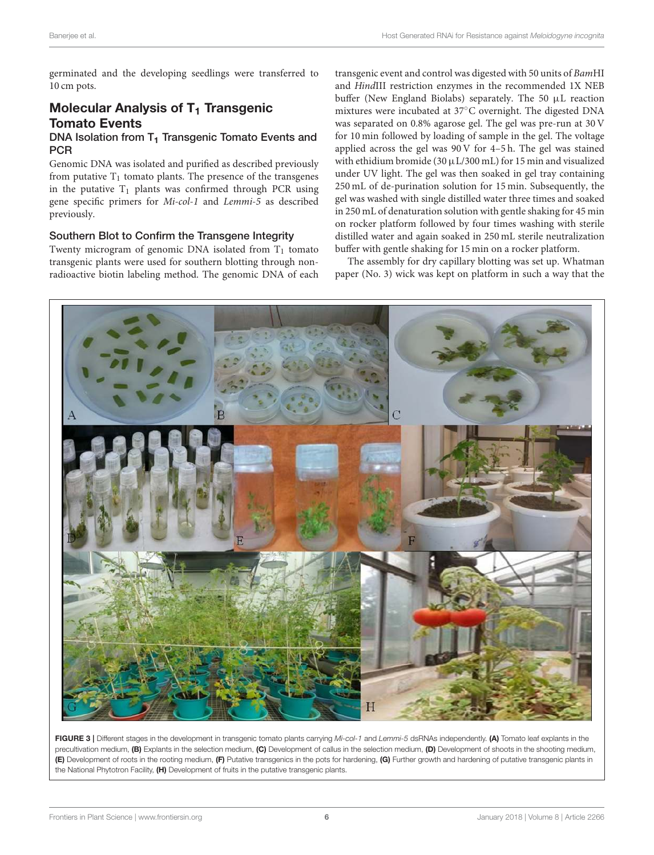germinated and the developing seedlings were transferred to 10 cm pots.

## Molecular Analysis of  $T_1$  Transgenic Tomato Events

#### DNA Isolation from  $T_1$  Transgenic Tomato Events and **PCR**

Genomic DNA was isolated and purified as described previously from putative  $T_1$  tomato plants. The presence of the transgenes in the putative  $T_1$  plants was confirmed through PCR using gene specific primers for Mi-col-1 and Lemmi-5 as described previously.

#### Southern Blot to Confirm the Transgene Integrity

Twenty microgram of genomic DNA isolated from  $T_1$  tomato transgenic plants were used for southern blotting through nonradioactive biotin labeling method. The genomic DNA of each transgenic event and control was digested with 50 units of BamHI and HindIII restriction enzymes in the recommended 1X NEB buffer (New England Biolabs) separately. The 50 µL reaction mixtures were incubated at 37◦C overnight. The digested DNA was separated on 0.8% agarose gel. The gel was pre-run at 30 V for 10 min followed by loading of sample in the gel. The voltage applied across the gel was 90 V for 4–5 h. The gel was stained with ethidium bromide (30  $\mu$ L/300 mL) for 15 min and visualized under UV light. The gel was then soaked in gel tray containing 250 mL of de-purination solution for 15 min. Subsequently, the gel was washed with single distilled water three times and soaked in 250 mL of denaturation solution with gentle shaking for 45 min on rocker platform followed by four times washing with sterile distilled water and again soaked in 250 mL sterile neutralization buffer with gentle shaking for 15 min on a rocker platform.

The assembly for dry capillary blotting was set up. Whatman paper (No. 3) wick was kept on platform in such a way that the



FIGURE 3 | Different stages in the development in transgenic tomato plants carrying *Mi-col-1* and *Lemmi-5* dsRNAs independently. (A) Tomato leaf explants in the precultivation medium, (B) Explants in the selection medium, (C) Development of callus in the selection medium, (D) Development of shoots in the shooting medium, (E) Development of roots in the rooting medium, (F) Putative transgenics in the pots for hardening, (G) Further growth and hardening of putative transgenic plants in the National Phytotron Facility, (H) Development of fruits in the putative transgenic plants.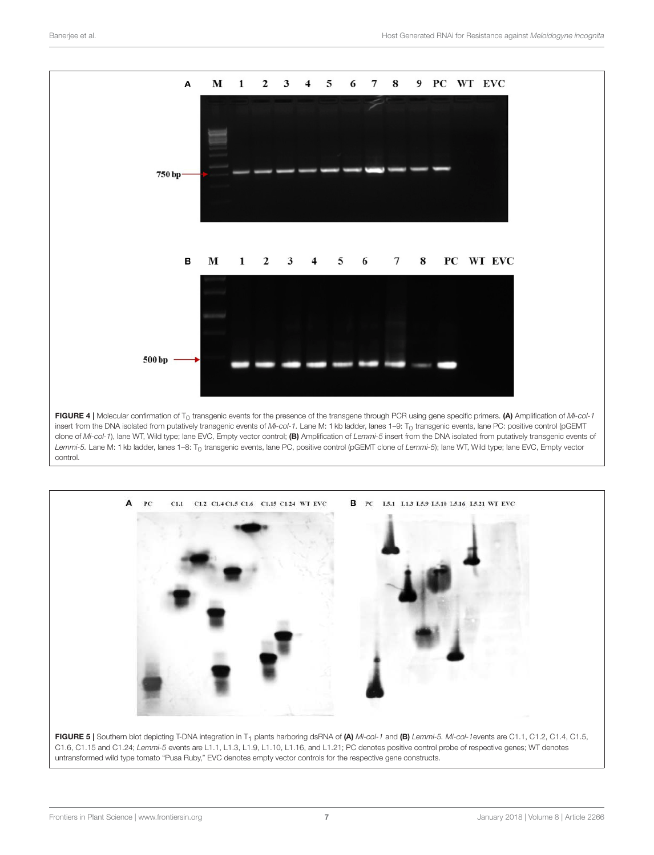

insert from the DNA isolated from putatively transgenic events of *Mi-col-1*. Lane M: 1 kb ladder, lanes 1–9: T<sub>0</sub> transgenic events, lane PC: positive control (pGEMT clone of *Mi-col-1*), lane WT, Wild type; lane EVC, Empty vector control; (B) Amplification of *Lemmi-5* insert from the DNA isolated from putatively transgenic events of Lemmi-5. Lane M: 1 kb ladder, lanes 1-8: T<sub>0</sub> transgenic events, lane PC, positive control (pGEMT clone of Lemmi-5); lane WT, Wild type; lane EVC, Empty vector control.



C1.6, C1.15 and C1.24; *Lemmi-5* events are L1.1, L1.3, L1.9, L1.10, L1.16, and L1.21; PC denotes positive control probe of respective genes; WT denotes untransformed wild type tomato "Pusa Ruby," EVC denotes empty vector controls for the respective gene constructs.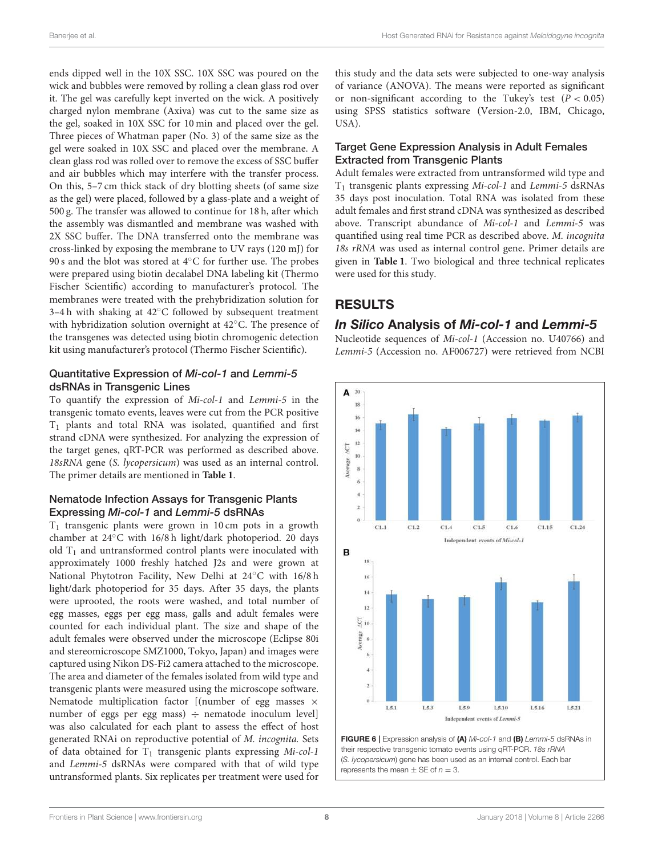ends dipped well in the 10X SSC. 10X SSC was poured on the wick and bubbles were removed by rolling a clean glass rod over it. The gel was carefully kept inverted on the wick. A positively charged nylon membrane (Axiva) was cut to the same size as the gel, soaked in 10X SSC for 10 min and placed over the gel. Three pieces of Whatman paper (No. 3) of the same size as the gel were soaked in 10X SSC and placed over the membrane. A clean glass rod was rolled over to remove the excess of SSC buffer and air bubbles which may interfere with the transfer process. On this, 5–7 cm thick stack of dry blotting sheets (of same size as the gel) were placed, followed by a glass-plate and a weight of 500 g. The transfer was allowed to continue for 18 h, after which the assembly was dismantled and membrane was washed with 2X SSC buffer. The DNA transferred onto the membrane was cross-linked by exposing the membrane to UV rays (120 mJ) for 90 s and the blot was stored at 4℃ for further use. The probes were prepared using biotin decalabel DNA labeling kit (Thermo Fischer Scientific) according to manufacturer's protocol. The membranes were treated with the prehybridization solution for 3–4 h with shaking at 42◦C followed by subsequent treatment with hybridization solution overnight at 42◦C. The presence of the transgenes was detected using biotin chromogenic detection kit using manufacturer's protocol (Thermo Fischer Scientific).

#### Quantitative Expression of Mi-col-1 and Lemmi-5 dsRNAs in Transgenic Lines

To quantify the expression of Mi-col-1 and Lemmi-5 in the transgenic tomato events, leaves were cut from the PCR positive T<sup>1</sup> plants and total RNA was isolated, quantified and first strand cDNA were synthesized. For analyzing the expression of the target genes, qRT-PCR was performed as described above. 18sRNA gene (S. lycopersicum) was used as an internal control. The primer details are mentioned in **Table 1**.

#### Nematode Infection Assays for Transgenic Plants Expressing Mi-col-1 and Lemmi-5 dsRNAs

 $T_1$  transgenic plants were grown in 10 cm pots in a growth chamber at 24◦C with 16/8 h light/dark photoperiod. 20 days old  $T_1$  and untransformed control plants were inoculated with approximately 1000 freshly hatched J2s and were grown at National Phytotron Facility, New Delhi at 24◦C with 16/8 h light/dark photoperiod for 35 days. After 35 days, the plants were uprooted, the roots were washed, and total number of egg masses, eggs per egg mass, galls and adult females were counted for each individual plant. The size and shape of the adult females were observed under the microscope (Eclipse 80i and stereomicroscope SMZ1000, Tokyo, Japan) and images were captured using Nikon DS-Fi2 camera attached to the microscope. The area and diameter of the females isolated from wild type and transgenic plants were measured using the microscope software. Nematode multiplication factor [(number of egg masses  $\times$ number of eggs per egg mass)  $\div$  nematode inoculum level] was also calculated for each plant to assess the effect of host generated RNAi on reproductive potential of M. incognita. Sets of data obtained for  $T_1$  transgenic plants expressing  $Mi$ -col-1 and Lemmi-5 dsRNAs were compared with that of wild type untransformed plants. Six replicates per treatment were used for this study and the data sets were subjected to one-way analysis of variance (ANOVA). The means were reported as significant or non-significant according to the Tukey's test  $(P < 0.05)$ using SPSS statistics software (Version-2.0, IBM, Chicago, USA).

#### Target Gene Expression Analysis in Adult Females Extracted from Transgenic Plants

Adult females were extracted from untransformed wild type and  $T_1$  transgenic plants expressing Mi-col-1 and Lemmi-5 dsRNAs 35 days post inoculation. Total RNA was isolated from these adult females and first strand cDNA was synthesized as described above. Transcript abundance of Mi-col-1 and Lemmi-5 was quantified using real time PCR as described above. M. incognita 18s rRNA was used as internal control gene. Primer details are given in **Table 1**. Two biological and three technical replicates were used for this study.

# RESULTS

#### *In Silico* Analysis of *Mi-col-1* and *Lemmi-5*

Nucleotide sequences of Mi-col-1 (Accession no. U40766) and Lemmi-5 (Accession no. AF006727) were retrieved from NCBI



FIGURE 6 | Expression analysis of (A) *Mi-col-1* and (B) *Lemmi-5* dsRNAs in their respective transgenic tomato events using qRT-PCR. *18s rRNA* (*S. lycopersicum*) gene has been used as an internal control. Each bar represents the mean  $\pm$  SE of  $n = 3$ .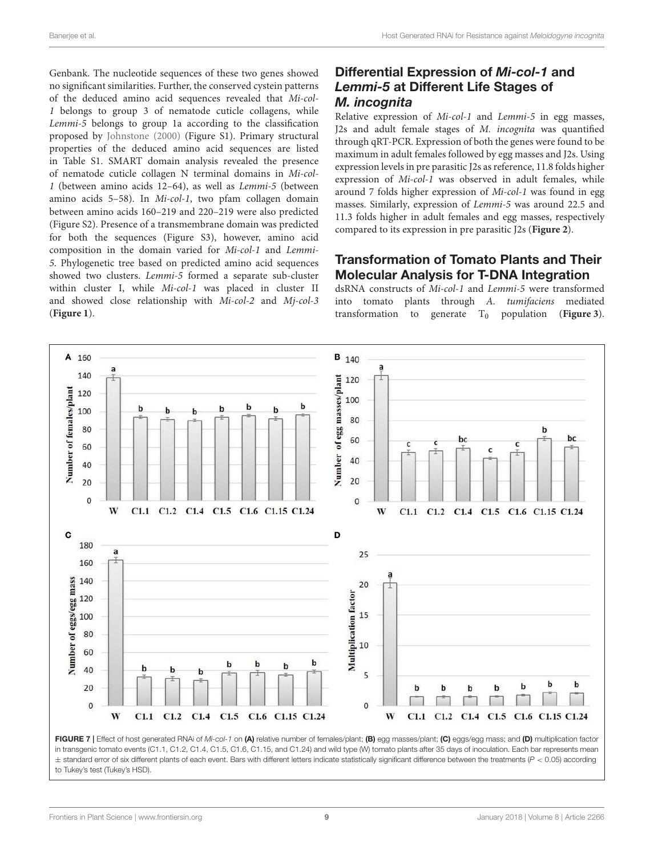Genbank. The nucleotide sequences of these two genes showed no significant similarities. Further, the conserved cystein patterns of the deduced amino acid sequences revealed that Mi-col-1 belongs to group 3 of nematode cuticle collagens, while Lemmi-5 belongs to group 1a according to the classification proposed by Johnstone (2000) (Figure S1). Primary structural properties of the deduced amino acid sequences are listed in Table S1. SMART domain analysis revealed the presence of nematode cuticle collagen N terminal domains in Mi-col-1 (between amino acids 12–64), as well as Lemmi-5 (between amino acids 5–58). In Mi-col-1, two pfam collagen domain between amino acids 160–219 and 220–219 were also predicted (Figure S2). Presence of a transmembrane domain was predicted for both the sequences (Figure S3), however, amino acid composition in the domain varied for Mi-col-1 and Lemmi-5. Phylogenetic tree based on predicted amino acid sequences showed two clusters. Lemmi-5 formed a separate sub-cluster within cluster I, while Mi-col-1 was placed in cluster II and showed close relationship with Mi-col-2 and Mj-col-3 (**Figure 1**).

#### Differential Expression of *Mi-col-1* and *Lemmi-5* at Different Life Stages of *M. incognita*

Relative expression of Mi-col-1 and Lemmi-5 in egg masses, J2s and adult female stages of M. incognita was quantified through qRT-PCR. Expression of both the genes were found to be maximum in adult females followed by egg masses and J2s. Using expression levels in pre parasitic J2s as reference, 11.8 folds higher expression of Mi-col-1 was observed in adult females, while around 7 folds higher expression of Mi-col-1 was found in egg masses. Similarly, expression of Lemmi-5 was around 22.5 and 11.3 folds higher in adult females and egg masses, respectively compared to its expression in pre parasitic J2s (**Figure 2**).

#### Transformation of Tomato Plants and Their Molecular Analysis for T-DNA Integration

dsRNA constructs of Mi-col-1 and Lemmi-5 were transformed into tomato plants through A. tumifaciens mediated transformation to generate  $T_0$  population (**Figure 3**).



FIGURE 7 | Effect of host generated RNAi of Mi-col-1 on (A) relative number of females/plant; (B) egg masses/plant; (C) eggs/egg mass; and (D) multiplication factor in transgenic tomato events (C1.1, C1.2, C1.4, C1.5, C1.6, C1.15, and C1.24) and wild type (W) tomato plants after 35 days of inoculation. Each bar represents mean ± standard error of six different plants of each event. Bars with different letters indicate statistically significant difference between the treatments (*P* < 0.05) according to Tukey's test (Tukey's HSD).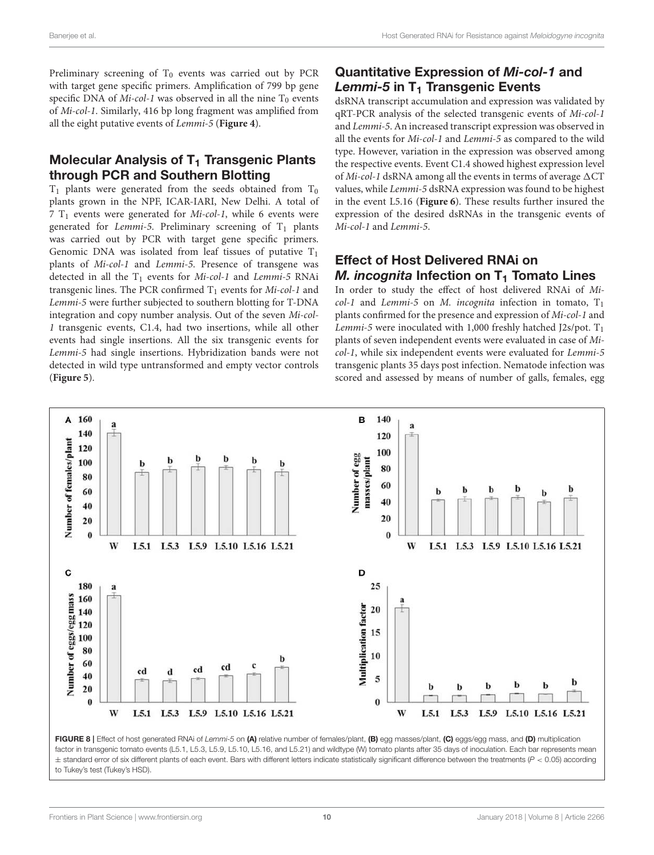Preliminary screening of  $T_0$  events was carried out by PCR with target gene specific primers. Amplification of 799 bp gene specific DNA of  $Mi$ -col-1 was observed in all the nine  $T_0$  events of Mi-col-1. Similarly, 416 bp long fragment was amplified from all the eight putative events of Lemmi-5 (**Figure 4**).

### Molecular Analysis of T<sub>1</sub> Transgenic Plants through PCR and Southern Blotting

 $T_1$  plants were generated from the seeds obtained from  $T_0$ plants grown in the NPF, ICAR-IARI, New Delhi. A total of  $7$  T<sub>1</sub> events were generated for *Mi-col-1*, while 6 events were generated for Lemmi-5. Preliminary screening of  $T_1$  plants was carried out by PCR with target gene specific primers. Genomic DNA was isolated from leaf tissues of putative  $T_1$ plants of Mi-col-1 and Lemmi-5. Presence of transgene was detected in all the  $T_1$  events for Mi-col-1 and Lemmi-5 RNAi transgenic lines. The PCR confirmed  $T_1$  events for *Mi-col-1* and Lemmi-5 were further subjected to southern blotting for T-DNA integration and copy number analysis. Out of the seven Mi-col-1 transgenic events, C1.4, had two insertions, while all other events had single insertions. All the six transgenic events for Lemmi-5 had single insertions. Hybridization bands were not detected in wild type untransformed and empty vector controls (**Figure 5**).

### Quantitative Expression of *Mi-col-1* and **Lemmi-5** in T<sub>1</sub> Transgenic Events

dsRNA transcript accumulation and expression was validated by qRT-PCR analysis of the selected transgenic events of Mi-col-1 and Lemmi-5. An increased transcript expression was observed in all the events for Mi-col-1 and Lemmi-5 as compared to the wild type. However, variation in the expression was observed among the respective events. Event C1.4 showed highest expression level of Mi-col-1 dsRNA among all the events in terms of average  $\Delta CT$ values, while Lemmi-5 dsRNA expression was found to be highest in the event L5.16 (**Figure 6**). These results further insured the expression of the desired dsRNAs in the transgenic events of Mi-col-1 and Lemmi-5.

### Effect of Host Delivered RNAi on *M. incognita* Infection on T<sub>1</sub> Tomato Lines

In order to study the effect of host delivered RNAi of Mi $col-1$  and Lemmi-5 on M. incognita infection in tomato,  $T_1$ plants confirmed for the presence and expression of Mi-col-1 and Lemmi-5 were inoculated with 1,000 freshly hatched  $12s/pot$ . T<sub>1</sub> plants of seven independent events were evaluated in case of Micol-1, while six independent events were evaluated for Lemmi-5 transgenic plants 35 days post infection. Nematode infection was scored and assessed by means of number of galls, females, egg



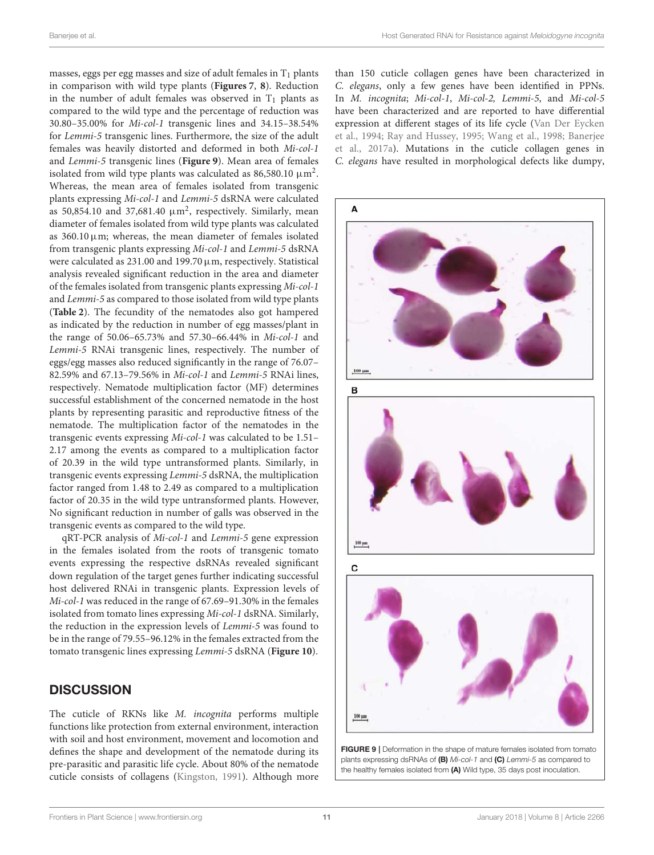masses, eggs per egg masses and size of adult females in  $T_1$  plants in comparison with wild type plants (**Figures 7**, **8**). Reduction in the number of adult females was observed in  $T_1$  plants as compared to the wild type and the percentage of reduction was 30.80–35.00% for Mi-col-1 transgenic lines and 34.15–38.54% for Lemmi-5 transgenic lines. Furthermore, the size of the adult females was heavily distorted and deformed in both Mi-col-1 and Lemmi-5 transgenic lines (**Figure 9**). Mean area of females isolated from wild type plants was calculated as 86,580.10  $\mu\text{m}^2$ . Whereas, the mean area of females isolated from transgenic plants expressing Mi-col-1 and Lemmi-5 dsRNA were calculated as 50,854.10 and 37,681.40  $\mu$ m<sup>2</sup>, respectively. Similarly, mean diameter of females isolated from wild type plants was calculated as  $360.10 \,\mathrm{\upmu m}$ ; whereas, the mean diameter of females isolated from transgenic plants expressing Mi-col-1 and Lemmi-5 dsRNA were calculated as  $231.00$  and  $199.70 \,\mu$ m, respectively. Statistical analysis revealed significant reduction in the area and diameter of the females isolated from transgenic plants expressing Mi-col-1 and Lemmi-5 as compared to those isolated from wild type plants (**Table 2**). The fecundity of the nematodes also got hampered as indicated by the reduction in number of egg masses/plant in the range of 50.06–65.73% and 57.30–66.44% in Mi-col-1 and Lemmi-5 RNAi transgenic lines, respectively. The number of eggs/egg masses also reduced significantly in the range of 76.07– 82.59% and 67.13–79.56% in Mi-col-1 and Lemmi-5 RNAi lines, respectively. Nematode multiplication factor (MF) determines successful establishment of the concerned nematode in the host plants by representing parasitic and reproductive fitness of the nematode. The multiplication factor of the nematodes in the transgenic events expressing Mi-col-1 was calculated to be 1.51– 2.17 among the events as compared to a multiplication factor of 20.39 in the wild type untransformed plants. Similarly, in transgenic events expressing Lemmi-5 dsRNA, the multiplication factor ranged from 1.48 to 2.49 as compared to a multiplication factor of 20.35 in the wild type untransformed plants. However, No significant reduction in number of galls was observed in the transgenic events as compared to the wild type.

qRT-PCR analysis of Mi-col-1 and Lemmi-5 gene expression in the females isolated from the roots of transgenic tomato events expressing the respective dsRNAs revealed significant down regulation of the target genes further indicating successful host delivered RNAi in transgenic plants. Expression levels of Mi-col-1 was reduced in the range of 67.69–91.30% in the females isolated from tomato lines expressing Mi-col-1 dsRNA. Similarly, the reduction in the expression levels of Lemmi-5 was found to be in the range of 79.55–96.12% in the females extracted from the tomato transgenic lines expressing Lemmi-5 dsRNA (**Figure 10**).

### **DISCUSSION**

The cuticle of RKNs like M. incognita performs multiple functions like protection from external environment, interaction with soil and host environment, movement and locomotion and defines the shape and development of the nematode during its pre-parasitic and parasitic life cycle. About 80% of the nematode cuticle consists of collagens (Kingston, 1991). Although more than 150 cuticle collagen genes have been characterized in C. elegans, only a few genes have been identified in PPNs. In M. incognita; Mi-col-1, Mi-col-2, Lemmi-5, and Mi-col-5 have been characterized and are reported to have differential expression at different stages of its life cycle (Van Der Eycken et al., 1994; Ray and Hussey, 1995; Wang et al., 1998; Banerjee et al., 2017a). Mutations in the cuticle collagen genes in C. elegans have resulted in morphological defects like dumpy,



FIGURE 9 | Deformation in the shape of mature females isolated from tomato plants expressing dsRNAs of (B) *Mi-col-1* and (C) *Lemmi-5* as compared to the healthy females isolated from (A) Wild type, 35 days post inoculation.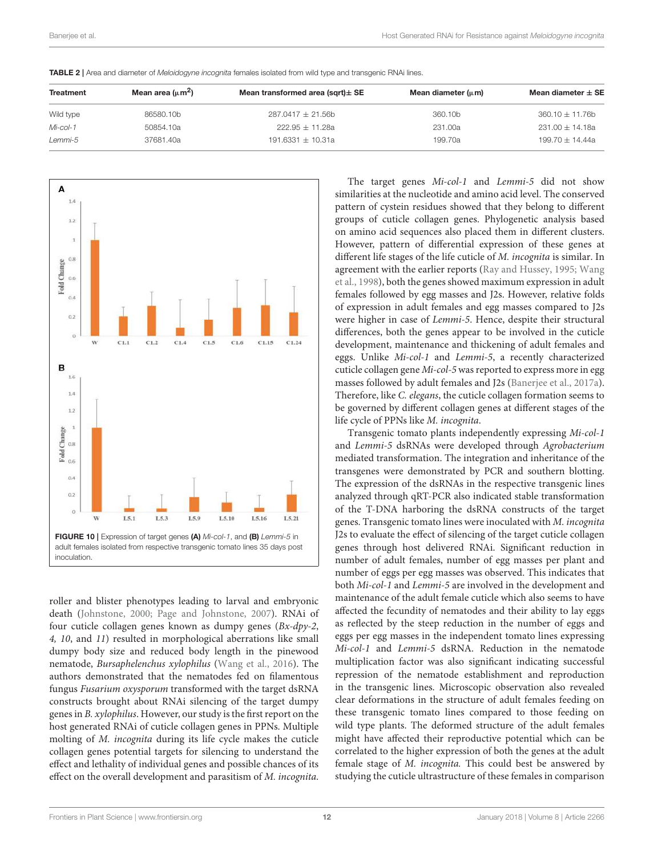| Treatment | Mean area $(\mu m^2)$ | Mean transformed area (sqrt) $\pm$ SE | Mean diameter $(\mu m)$ | Mean diameter $\pm$ SE |  |
|-----------|-----------------------|---------------------------------------|-------------------------|------------------------|--|
| Wild type | 86580.10b             | $287.0417 \pm 21.56$ b                | 360.10b                 | $360.10 \pm 11.76$ b   |  |
| Mi-col-1  | 50854.10a             | $222.95 + 11.28a$                     | 231.00a                 | $231.00 \pm 14.18a$    |  |

*Lemmi-5* 37681.40a 191.6331 ± 10.31a 199.70a 199.70 ± 14.44a

TABLE 2 | Area and diameter of *Meloidogyne incognita* females isolated from wild type and transgenic RNAi lines.



roller and blister phenotypes leading to larval and embryonic death (Johnstone, 2000; Page and Johnstone, 2007). RNAi of four cuticle collagen genes known as dumpy genes (Bx-dpy-2, 4, 10, and 11) resulted in morphological aberrations like small dumpy body size and reduced body length in the pinewood nematode, Bursaphelenchus xylophilus (Wang et al., 2016). The authors demonstrated that the nematodes fed on filamentous fungus Fusarium oxysporum transformed with the target dsRNA constructs brought about RNAi silencing of the target dumpy genes in B. xylophilus. However, our study is the first report on the host generated RNAi of cuticle collagen genes in PPNs. Multiple molting of M. incognita during its life cycle makes the cuticle collagen genes potential targets for silencing to understand the effect and lethality of individual genes and possible chances of its effect on the overall development and parasitism of M. incognita.

The target genes Mi-col-1 and Lemmi-5 did not show similarities at the nucleotide and amino acid level. The conserved pattern of cystein residues showed that they belong to different groups of cuticle collagen genes. Phylogenetic analysis based on amino acid sequences also placed them in different clusters. However, pattern of differential expression of these genes at different life stages of the life cuticle of M. incognita is similar. In agreement with the earlier reports (Ray and Hussey, 1995; Wang et al., 1998), both the genes showed maximum expression in adult females followed by egg masses and J2s. However, relative folds of expression in adult females and egg masses compared to J2s were higher in case of Lemmi-5. Hence, despite their structural differences, both the genes appear to be involved in the cuticle development, maintenance and thickening of adult females and eggs. Unlike Mi-col-1 and Lemmi-5, a recently characterized cuticle collagen gene Mi-col-5 was reported to express more in egg masses followed by adult females and J2s (Banerjee et al., 2017a). Therefore, like C. elegans, the cuticle collagen formation seems to be governed by different collagen genes at different stages of the life cycle of PPNs like M. incognita.

Transgenic tomato plants independently expressing Mi-col-1 and Lemmi-5 dsRNAs were developed through Agrobacterium mediated transformation. The integration and inheritance of the transgenes were demonstrated by PCR and southern blotting. The expression of the dsRNAs in the respective transgenic lines analyzed through qRT-PCR also indicated stable transformation of the T-DNA harboring the dsRNA constructs of the target genes. Transgenic tomato lines were inoculated with M. incognita J2s to evaluate the effect of silencing of the target cuticle collagen genes through host delivered RNAi. Significant reduction in number of adult females, number of egg masses per plant and number of eggs per egg masses was observed. This indicates that both Mi-col-1 and Lemmi-5 are involved in the development and maintenance of the adult female cuticle which also seems to have affected the fecundity of nematodes and their ability to lay eggs as reflected by the steep reduction in the number of eggs and eggs per egg masses in the independent tomato lines expressing Mi-col-1 and Lemmi-5 dsRNA. Reduction in the nematode multiplication factor was also significant indicating successful repression of the nematode establishment and reproduction in the transgenic lines. Microscopic observation also revealed clear deformations in the structure of adult females feeding on these transgenic tomato lines compared to those feeding on wild type plants. The deformed structure of the adult females might have affected their reproductive potential which can be correlated to the higher expression of both the genes at the adult female stage of M. incognita. This could best be answered by studying the cuticle ultrastructure of these females in comparison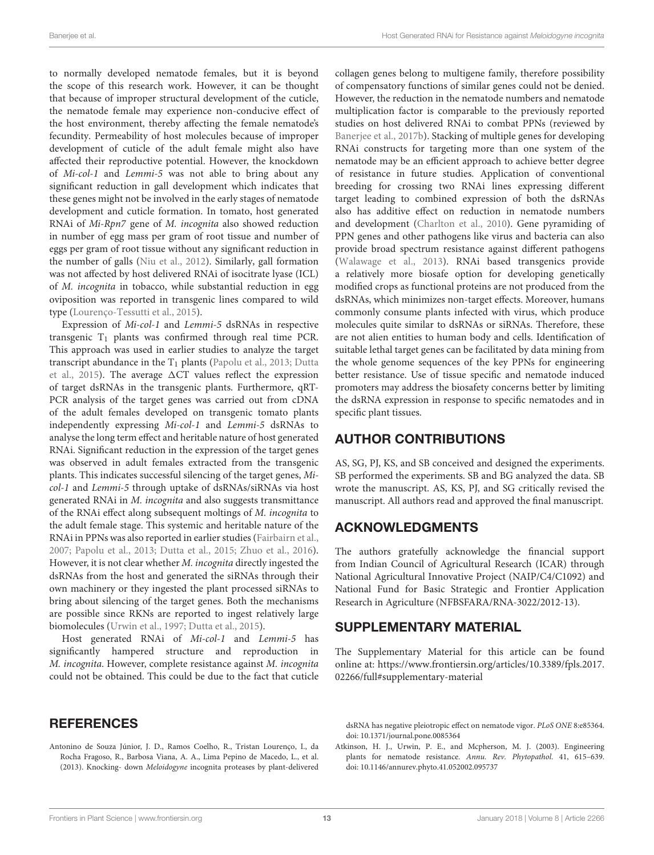to normally developed nematode females, but it is beyond the scope of this research work. However, it can be thought that because of improper structural development of the cuticle, the nematode female may experience non-conducive effect of the host environment, thereby affecting the female nematode's fecundity. Permeability of host molecules because of improper development of cuticle of the adult female might also have affected their reproductive potential. However, the knockdown of Mi-col-1 and Lemmi-5 was not able to bring about any significant reduction in gall development which indicates that these genes might not be involved in the early stages of nematode development and cuticle formation. In tomato, host generated RNAi of Mi-Rpn7 gene of M. incognita also showed reduction in number of egg mass per gram of root tissue and number of eggs per gram of root tissue without any significant reduction in the number of galls (Niu et al., 2012). Similarly, gall formation was not affected by host delivered RNAi of isocitrate lyase (ICL) of M. incognita in tobacco, while substantial reduction in egg oviposition was reported in transgenic lines compared to wild type (Lourenço-Tessutti et al., 2015).

Expression of Mi-col-1 and Lemmi-5 dsRNAs in respective transgenic  $T_1$  plants was confirmed through real time PCR. This approach was used in earlier studies to analyze the target transcript abundance in the  $T_1$  plants (Papolu et al., 2013; Dutta et al., 2015). The average  $\Delta CT$  values reflect the expression of target dsRNAs in the transgenic plants. Furthermore, qRT-PCR analysis of the target genes was carried out from cDNA of the adult females developed on transgenic tomato plants independently expressing Mi-col-1 and Lemmi-5 dsRNAs to analyse the long term effect and heritable nature of host generated RNAi. Significant reduction in the expression of the target genes was observed in adult females extracted from the transgenic plants. This indicates successful silencing of the target genes, Micol-1 and Lemmi-5 through uptake of dsRNAs/siRNAs via host generated RNAi in M. incognita and also suggests transmittance of the RNAi effect along subsequent moltings of M. incognita to the adult female stage. This systemic and heritable nature of the RNAi in PPNs was also reported in earlier studies (Fairbairn et al., 2007; Papolu et al., 2013; Dutta et al., 2015; Zhuo et al., 2016). However, it is not clear whether M. incognita directly ingested the dsRNAs from the host and generated the siRNAs through their own machinery or they ingested the plant processed siRNAs to bring about silencing of the target genes. Both the mechanisms are possible since RKNs are reported to ingest relatively large biomolecules (Urwin et al., 1997; Dutta et al., 2015).

Host generated RNAi of Mi-col-1 and Lemmi-5 has significantly hampered structure and reproduction in M. incognita. However, complete resistance against M. incognita could not be obtained. This could be due to the fact that cuticle

#### **REFERENCES**

Antonino de Souza Júnior, J. D., Ramos Coelho, R., Tristan Lourenço, I., da Rocha Fragoso, R., Barbosa Viana, A. A., Lima Pepino de Macedo, L., et al. (2013). Knocking- down Meloidogyne incognita proteases by plant-delivered collagen genes belong to multigene family, therefore possibility of compensatory functions of similar genes could not be denied. However, the reduction in the nematode numbers and nematode multiplication factor is comparable to the previously reported studies on host delivered RNAi to combat PPNs (reviewed by Banerjee et al., 2017b). Stacking of multiple genes for developing RNAi constructs for targeting more than one system of the nematode may be an efficient approach to achieve better degree of resistance in future studies. Application of conventional breeding for crossing two RNAi lines expressing different target leading to combined expression of both the dsRNAs also has additive effect on reduction in nematode numbers and development (Charlton et al., 2010). Gene pyramiding of PPN genes and other pathogens like virus and bacteria can also provide broad spectrum resistance against different pathogens (Walawage et al., 2013). RNAi based transgenics provide a relatively more biosafe option for developing genetically modified crops as functional proteins are not produced from the dsRNAs, which minimizes non-target effects. Moreover, humans commonly consume plants infected with virus, which produce molecules quite similar to dsRNAs or siRNAs. Therefore, these are not alien entities to human body and cells. Identification of suitable lethal target genes can be facilitated by data mining from the whole genome sequences of the key PPNs for engineering better resistance. Use of tissue specific and nematode induced promoters may address the biosafety concerns better by limiting the dsRNA expression in response to specific nematodes and in specific plant tissues.

### AUTHOR CONTRIBUTIONS

AS, SG, PJ, KS, and SB conceived and designed the experiments. SB performed the experiments. SB and BG analyzed the data. SB wrote the manuscript. AS, KS, PJ, and SG critically revised the manuscript. All authors read and approved the final manuscript.

### ACKNOWLEDGMENTS

The authors gratefully acknowledge the financial support from Indian Council of Agricultural Research (ICAR) through National Agricultural Innovative Project (NAIP/C4/C1092) and National Fund for Basic Strategic and Frontier Application Research in Agriculture (NFBSFARA/RNA-3022/2012-13).

### SUPPLEMENTARY MATERIAL

The Supplementary Material for this article can be found online at: https://www.frontiersin.org/articles/10.3389/fpls.2017. 02266/full#supplementary-material

dsRNA has negative pleiotropic effect on nematode vigor. PLoS ONE 8:e85364. doi: 10.1371/journal.pone.0085364

Atkinson, H. J., Urwin, P. E., and Mcpherson, M. J. (2003). Engineering plants for nematode resistance. Annu. Rev. Phytopathol. 41, 615–639. doi: 10.1146/annurev.phyto.41.052002.095737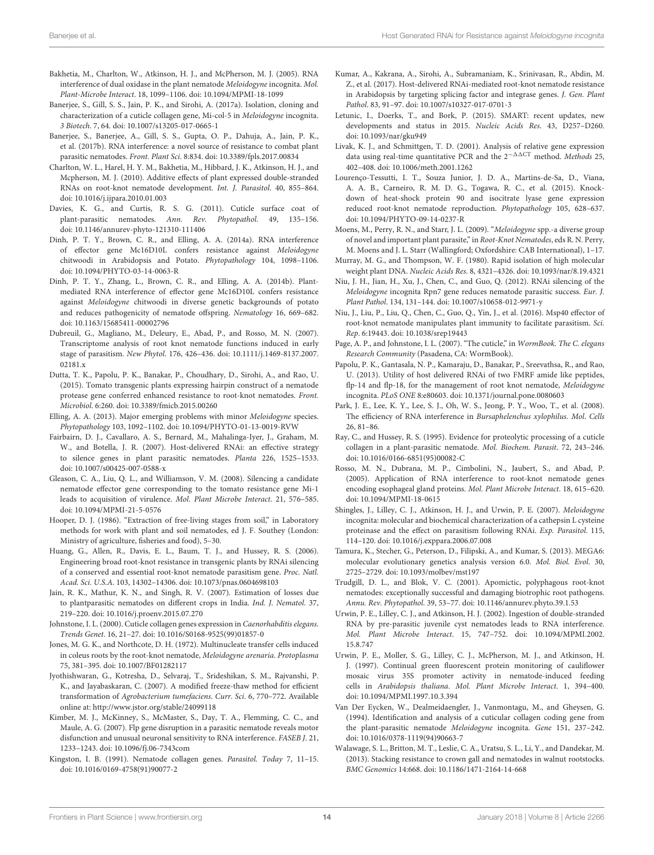- Bakhetia, M., Charlton, W., Atkinson, H. J., and McPherson, M. J. (2005). RNA interference of dual oxidase in the plant nematode Meloidogyne incognita. Mol. Plant-Microbe Interact. 18, 1099–1106. doi: 10.1094/MPMI-18-1099
- Banerjee, S., Gill, S. S., Jain, P. K., and Sirohi, A. (2017a). Isolation, cloning and characterization of a cuticle collagen gene, Mi-col-5 in Meloidogyne incognita. 3 Biotech. 7, 64. doi: 10.1007/s13205-017-0665-1
- Banerjee, S., Banerjee, A., Gill, S. S., Gupta, O. P., Dahuja, A., Jain, P. K., et al. (2017b). RNA interference: a novel source of resistance to combat plant parasitic nematodes. Front. Plant Sci. 8:834. doi: 10.3389/fpls.2017.00834
- Charlton, W. L., Harel, H. Y. M., Bakhetia, M., Hibbard, J. K., Atkinson, H. J., and Mcpherson, M. J. (2010). Additive effects of plant expressed double-stranded RNAs on root-knot nematode development. Int. J. Parasitol. 40, 855–864. doi: 10.1016/j.ijpara.2010.01.003
- Davies, K. G., and Curtis, R. S. G. (2011). Cuticle surface coat of plant-parasitic nematodes. Ann. Rev. Phytopathol. 49, 135–156. doi: 10.1146/annurev-phyto-121310-111406
- Dinh, P. T. Y., Brown, C. R., and Elling, A. A. (2014a). RNA interference of effector gene Mc16D10L confers resistance against Meloidogyne chitwoodi in Arabidopsis and Potato. Phytopathology 104, 1098–1106. doi: 10.1094/PHYTO-03-14-0063-R
- Dinh, P. T. Y., Zhang, L., Brown, C. R., and Elling, A. A. (2014b). Plantmediated RNA interference of effector gene Mc16D10L confers resistance against Meloidogyne chitwoodi in diverse genetic backgrounds of potato and reduces pathogenicity of nematode offspring. Nematology 16, 669–682. doi: 10.1163/15685411-00002796
- Dubreuil, G., Magliano, M., Deleury, E., Abad, P., and Rosso, M. N. (2007). Transcriptome analysis of root knot nematode functions induced in early stage of parasitism. New Phytol. 176, 426–436. doi: 10.1111/j.1469-8137.2007. 02181.x
- Dutta, T. K., Papolu, P. K., Banakar, P., Choudhary, D., Sirohi, A., and Rao, U. (2015). Tomato transgenic plants expressing hairpin construct of a nematode protease gene conferred enhanced resistance to root-knot nematodes. Front. Microbiol. 6:260. doi: 10.3389/fmicb.2015.00260
- Elling, A. A. (2013). Major emerging problems with minor Meloidogyne species. Phytopathology 103, 1092–1102. doi: 10.1094/PHYTO-01-13-0019-RVW
- Fairbairn, D. J., Cavallaro, A. S., Bernard, M., Mahalinga-Iyer, J., Graham, M. W., and Botella, J. R. (2007). Host-delivered RNAi: an effective strategy to silence genes in plant parasitic nematodes. Planta 226, 1525–1533. doi: 10.1007/s00425-007-0588-x
- Gleason, C. A., Liu, Q. L., and Williamson, V. M. (2008). Silencing a candidate nematode effector gene corresponding to the tomato resistance gene Mi-1 leads to acquisition of virulence. Mol. Plant Microbe Interact. 21, 576–585. doi: 10.1094/MPMI-21-5-0576
- Hooper, D. J. (1986). "Extraction of free-living stages from soil," in Laboratory methods for work with plant and soil nematodes, ed J. F. Southey (London: Ministry of agriculture, fisheries and food), 5–30.
- Huang, G., Allen, R., Davis, E. L., Baum, T. J., and Hussey, R. S. (2006). Engineering broad root-knot resistance in transgenic plants by RNAi silencing of a conserved and essential root-knot nematode parasitism gene. Proc. Natl. Acad. Sci. U.S.A. 103, 14302–14306. doi: 10.1073/pnas.0604698103
- Jain, R. K., Mathur, K. N., and Singh, R. V. (2007). Estimation of losses due to plantparasitic nematodes on different crops in India. Ind. J. Nematol. 37, 219–220. doi: 10.1016/j.proenv.2015.07.270
- Johnstone, I. L. (2000). Cuticle collagen genes expression in Caenorhabditis elegans. Trends Genet. 16, 21–27. doi: 10.1016/S0168-9525(99)01857-0
- Jones, M. G. K., and Northcote, D. H. (1972). Multinucleate transfer cells induced in coleus roots by the root-knot nematode, Meloidogyne arenaria. Protoplasma 75, 381–395. doi: 10.1007/BF01282117
- Jyothishwaran, G., Kotresha, D., Selvaraj, T., Srideshikan, S. M., Rajvanshi, P. K., and Jayabaskaran, C. (2007). A modified freeze-thaw method for efficient transformation of Agrobacterium tumefaciens. Curr. Sci. 6, 770–772. Available online at: http://www.jstor.org/stable/24099118
- Kimber, M. J., McKinney, S., McMaster, S., Day, T. A., Flemming, C. C., and Maule, A. G. (2007). Flp gene disruption in a parasitic nematode reveals motor disfunction and unusual neuronal sensitivity to RNA interference. FASEB J. 21, 1233–1243. doi: 10.1096/fj.06-7343com
- Kingston, I. B. (1991). Nematode collagen genes. Parasitol. Today 7, 11–15. doi: 10.1016/0169-4758(91)90077-2
- Kumar, A., Kakrana, A., Sirohi, A., Subramaniam, K., Srinivasan, R., Abdin, M. Z., et al. (2017). Host-delivered RNAi-mediated root-knot nematode resistance in Arabidopsis by targeting splicing factor and integrase genes. J. Gen. Plant Pathol. 83, 91–97. doi: 10.1007/s10327-017-0701-3
- Letunic, I., Doerks, T., and Bork, P. (2015). SMART: recent updates, new developments and status in 2015. Nucleic Acids Res. 43, D257–D260. doi: 10.1093/nar/gku949
- Livak, K. J., and Schmittgen, T. D. (2001). Analysis of relative gene expression data using real-time quantitative PCR and the  $2^{-\Delta\Delta CT}$  method. Methods 25, 402–408. doi: 10.1006/meth.2001.1262
- Lourenço-Tessutti, I. T., Souza Junior, J. D. A., Martins-de-Sa, D., Viana, A. A. B., Carneiro, R. M. D. G., Togawa, R. C., et al. (2015). Knockdown of heat-shock protein 90 and isocitrate lyase gene expression reduced root-knot nematode reproduction. Phytopathology 105, 628–637. doi: 10.1094/PHYTO-09-14-0237-R
- Moens, M., Perry, R. N., and Starr, J. L. (2009). "Meloidogyne spp.-a diverse group of novel and important plant parasite," in Root-Knot Nematodes, eds R. N. Perry, M. Moens and J. L. Starr (Wallingford; Oxfordshire: CAB International), 1–17.
- Murray, M. G., and Thompson, W. F. (1980). Rapid isolation of high molecular weight plant DNA. Nucleic Acids Res. 8, 4321–4326. doi: 10.1093/nar/8.19.4321
- Niu, J. H., Jian, H., Xu, J., Chen, C., and Guo, Q. (2012). RNAi silencing of the Meloidogyne incognita Rpn7 gene reduces nematode parasitic success. Eur. J. Plant Pathol. 134, 131–144. doi: 10.1007/s10658-012-9971-y
- Niu, J., Liu, P., Liu, Q., Chen, C., Guo, Q., Yin, J., et al. (2016). Msp40 effector of root-knot nematode manipulates plant immunity to facilitate parasitism. Sci. Rep. 6:19443. doi: 10.1038/srep19443
- Page, A. P., and Johnstone, I. L. (2007). "The cuticle," in WormBook. The C. elegans Research Community (Pasadena, CA: WormBook).
- Papolu, P. K., Gantasala, N. P., Kamaraju, D., Banakar, P., Sreevathsa, R., and Rao, U. (2013). Utility of host delivered RNAi of two FMRF amide like peptides, flp-14 and flp-18, for the management of root knot nematode, Meloidogyne incognita. PLoS ONE 8:e80603. doi: 10.1371/journal.pone.0080603
- Park, J. E., Lee, K. Y., Lee, S. J., Oh, W. S., Jeong, P. Y., Woo, T., et al. (2008). The efficiency of RNA interference in Bursaphelenchus xylophilus. Mol. Cells 26, 81–86.
- Ray, C., and Hussey, R. S. (1995). Evidence for proteolytic processing of a cuticle collagen in a plant-parasitic nematode. Mol. Biochem. Parasit. 72, 243–246. doi: 10.1016/0166-6851(95)00082-C
- Rosso, M. N., Dubrana, M. P., Cimbolini, N., Jaubert, S., and Abad, P. (2005). Application of RNA interference to root-knot nematode genes encoding esophageal gland proteins. Mol. Plant Microbe Interact. 18, 615–620. doi: 10.1094/MPMI-18-0615
- Shingles, J., Lilley, C. J., Atkinson, H. J., and Urwin, P. E. (2007). Meloidogyne incognita: molecular and biochemical characterization of a cathepsin L cysteine proteinase and the effect on parasitism following RNAi. Exp. Parasitol. 115, 114–120. doi: 10.1016/j.exppara.2006.07.008
- Tamura, K., Stecher, G., Peterson, D., Filipski, A., and Kumar, S. (2013). MEGA6: molecular evolutionary genetics analysis version 6.0. Mol. Biol. Evol. 30, 2725–2729. doi: 10.1093/molbev/mst197
- Trudgill, D. L., and Blok, V. C. (2001). Apomictic, polyphagous root-knot nematodes: exceptionally successful and damaging biotrophic root pathogens. Annu. Rev. Phytopathol. 39, 53–77. doi: 10.1146/annurev.phyto.39.1.53
- Urwin, P. E., Lilley, C. J., and Atkinson, H. J. (2002). Ingestion of double-stranded RNA by pre-parasitic juvenile cyst nematodes leads to RNA interference. Mol. Plant Microbe Interact. 15, 747–752. doi: 10.1094/MPMI.2002. 15.8.747
- Urwin, P. E., Moller, S. G., Lilley, C. J., McPherson, M. J., and Atkinson, H. J. (1997). Continual green fluorescent protein monitoring of cauliflower mosaic virus 35S promoter activity in nematode-induced feeding cells in Arabidopsis thaliana. Mol. Plant Microbe Interact. 1, 394–400. doi: 10.1094/MPMI.1997.10.3.394
- Van Der Eycken, W., Dealmeidaengler, J., Vanmontagu, M., and Gheysen, G. (1994). Identification and analysis of a cuticular collagen coding gene from the plant-parasitic nematode Meloidogyne incognita. Gene 151, 237–242. doi: 10.1016/0378-1119(94)90663-7
- Walawage, S. L., Britton, M. T., Leslie, C. A., Uratsu, S. L., Li, Y., and Dandekar, M. (2013). Stacking resistance to crown gall and nematodes in walnut rootstocks. BMC Genomics 14:668. doi: 10.1186/1471-2164-14-668